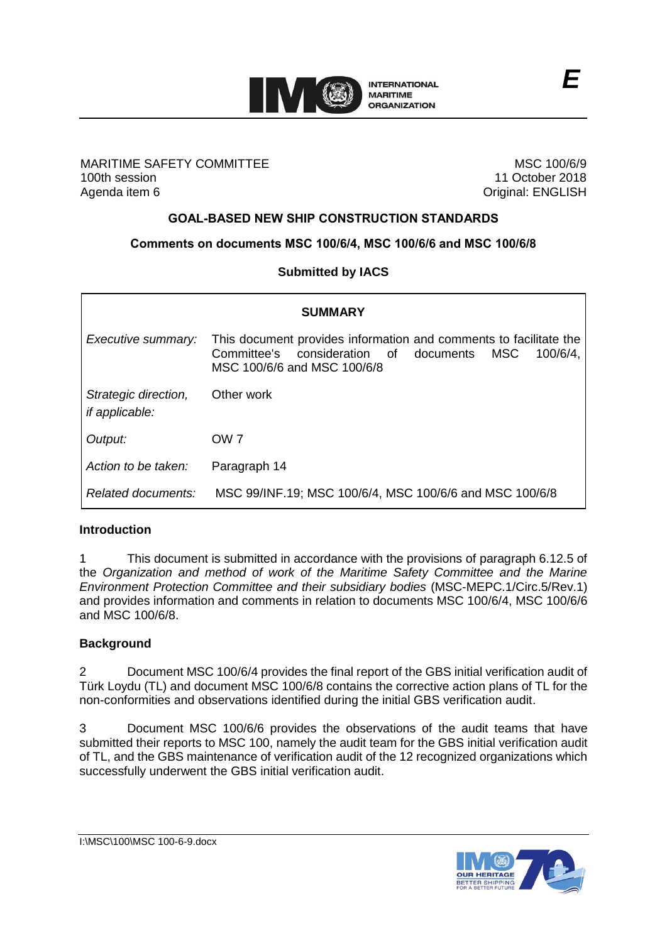

### MARITIME SAFETY COMMITTEE 100th session Agenda item 6

MSC 100/6/9 11 October 2018 Original: ENGLISH

## **GOAL-BASED NEW SHIP CONSTRUCTION STANDARDS**

### **Comments on documents MSC 100/6/4, MSC 100/6/6 and MSC 100/6/8**

### **Submitted by IACS**

| <b>SUMMARY</b>                                |                                                                                                                                                                  |
|-----------------------------------------------|------------------------------------------------------------------------------------------------------------------------------------------------------------------|
| Executive summary:                            | This document provides information and comments to facilitate the<br>Committee's consideration of documents<br>MSC<br>$100/6/4$ ,<br>MSC 100/6/6 and MSC 100/6/8 |
| Strategic direction,<br><i>if applicable:</i> | Other work                                                                                                                                                       |
| Output:                                       | OW <sub>7</sub>                                                                                                                                                  |
| Action to be taken:                           | Paragraph 14                                                                                                                                                     |
| Related documents:                            | MSC 99/INF.19; MSC 100/6/4, MSC 100/6/6 and MSC 100/6/8                                                                                                          |

### **Introduction**

1 This document is submitted in accordance with the provisions of paragraph 6.12.5 of the *Organization and method of work of the Maritime Safety Committee and the Marine Environment Protection Committee and their subsidiary bodies* (MSC-MEPC.1/Circ.5/Rev.1) and provides information and comments in relation to documents MSC 100/6/4, MSC 100/6/6 and MSC 100/6/8.

### **Background**

2 Document MSC 100/6/4 provides the final report of the GBS initial verification audit of Türk Loydu (TL) and document MSC 100/6/8 contains the corrective action plans of TL for the non-conformities and observations identified during the initial GBS verification audit.

3 Document MSC 100/6/6 provides the observations of the audit teams that have submitted their reports to MSC 100, namely the audit team for the GBS initial verification audit of TL, and the GBS maintenance of verification audit of the 12 recognized organizations which successfully underwent the GBS initial verification audit.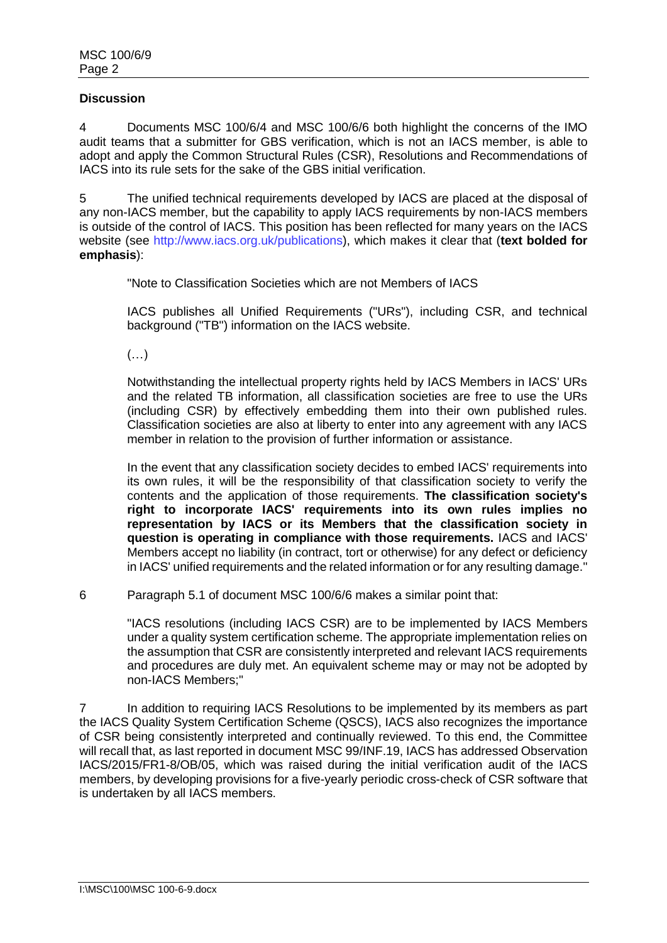#### **Discussion**

4 Documents MSC 100/6/4 and MSC 100/6/6 both highlight the concerns of the IMO audit teams that a submitter for GBS verification, which is not an IACS member, is able to adopt and apply the Common Structural Rules (CSR), Resolutions and Recommendations of IACS into its rule sets for the sake of the GBS initial verification.

5 The unified technical requirements developed by IACS are placed at the disposal of any non-IACS member, but the capability to apply IACS requirements by non-IACS members is outside of the control of IACS. This position has been reflected for many years on the IACS website (see http://www.iacs.org.uk/publications), which makes it clear that (**text bolded for emphasis**):

"Note to Classification Societies which are not Members of IACS

IACS publishes all Unified Requirements ("URs"), including CSR, and technical background ("TB") information on the IACS website.

(…)

Notwithstanding the intellectual property rights held by IACS Members in IACS' URs and the related TB information, all classification societies are free to use the URs (including CSR) by effectively embedding them into their own published rules. Classification societies are also at liberty to enter into any agreement with any IACS member in relation to the provision of further information or assistance.

In the event that any classification society decides to embed IACS' requirements into its own rules, it will be the responsibility of that classification society to verify the contents and the application of those requirements. **The classification society's right to incorporate IACS' requirements into its own rules implies no representation by IACS or its Members that the classification society in question is operating in compliance with those requirements.** IACS and IACS' Members accept no liability (in contract, tort or otherwise) for any defect or deficiency in IACS' unified requirements and the related information or for any resulting damage."

6 Paragraph 5.1 of document MSC 100/6/6 makes a similar point that:

"IACS resolutions (including IACS CSR) are to be implemented by IACS Members under a quality system certification scheme. The appropriate implementation relies on the assumption that CSR are consistently interpreted and relevant IACS requirements and procedures are duly met. An equivalent scheme may or may not be adopted by non-IACS Members;"

7 In addition to requiring IACS Resolutions to be implemented by its members as part the IACS Quality System Certification Scheme (QSCS), IACS also recognizes the importance of CSR being consistently interpreted and continually reviewed. To this end, the Committee will recall that, as last reported in document MSC 99/INF.19, IACS has addressed Observation IACS/2015/FR1-8/OB/05, which was raised during the initial verification audit of the IACS members, by developing provisions for a five-yearly periodic cross-check of CSR software that is undertaken by all IACS members.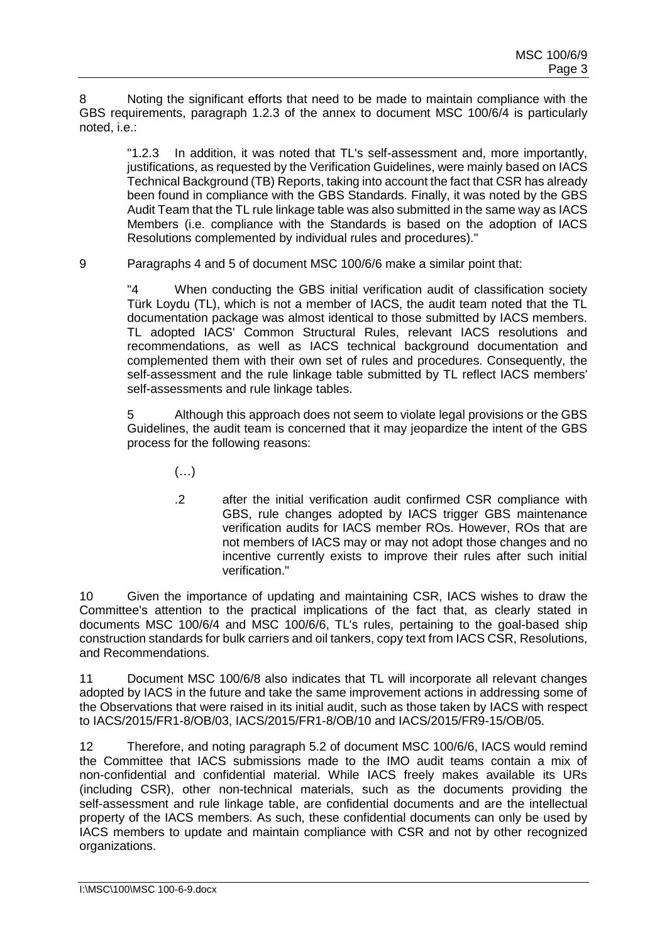8 Noting the significant efforts that need to be made to maintain compliance with the GBS requirements, paragraph 1.2.3 of the annex to document MSC 100/6/4 is particularly noted, i.e.:

"1.2.3 In addition, it was noted that TL's self-assessment and, more importantly, justifications, as requested by the Verification Guidelines, were mainly based on IACS Technical Background (TB) Reports, taking into account the fact that CSR has already been found in compliance with the GBS Standards. Finally, it was noted by the GBS Audit Team that the TL rule linkage table was also submitted in the same way as IACS Members (i.e. compliance with the Standards is based on the adoption of IACS Resolutions complemented by individual rules and procedures)."

9 Paragraphs 4 and 5 of document MSC 100/6/6 make a similar point that:

"4 When conducting the GBS initial verification audit of classification society Türk Loydu (TL), which is not a member of IACS, the audit team noted that the TL documentation package was almost identical to those submitted by IACS members. TL adopted IACS' Common Structural Rules, relevant IACS resolutions and recommendations, as well as IACS technical background documentation and complemented them with their own set of rules and procedures. Consequently, the self-assessment and the rule linkage table submitted by TL reflect IACS members' self-assessments and rule linkage tables.

5 Although this approach does not seem to violate legal provisions or the GBS Guidelines, the audit team is concerned that it may jeopardize the intent of the GBS process for the following reasons:

- $(\ldots)$
- .2 after the initial verification audit confirmed CSR compliance with GBS, rule changes adopted by IACS trigger GBS maintenance verification audits for IACS member ROs. However, ROs that are not members of IACS may or may not adopt those changes and no incentive currently exists to improve their rules after such initial verification."

10 Given the importance of updating and maintaining CSR, IACS wishes to draw the Committee's attention to the practical implications of the fact that, as clearly stated in documents MSC 100/6/4 and MSC 100/6/6, TL's rules, pertaining to the goal-based ship construction standards for bulk carriers and oil tankers, copy text from IACS CSR, Resolutions, and Recommendations.

11 Document MSC 100/6/8 also indicates that TL will incorporate all relevant changes adopted by IACS in the future and take the same improvement actions in addressing some of the Observations that were raised in its initial audit, such as those taken by IACS with respect to IACS/2015/FR1-8/OB/03, IACS/2015/FR1-8/OB/10 and IACS/2015/FR9-15/OB/05.

12 Therefore, and noting paragraph 5.2 of document MSC 100/6/6, IACS would remind the Committee that IACS submissions made to the IMO audit teams contain a mix of non-confidential and confidential material. While IACS freely makes available its URs (including CSR), other non-technical materials, such as the documents providing the self-assessment and rule linkage table, are confidential documents and are the intellectual property of the IACS members. As such, these confidential documents can only be used by IACS members to update and maintain compliance with CSR and not by other recognized organizations.